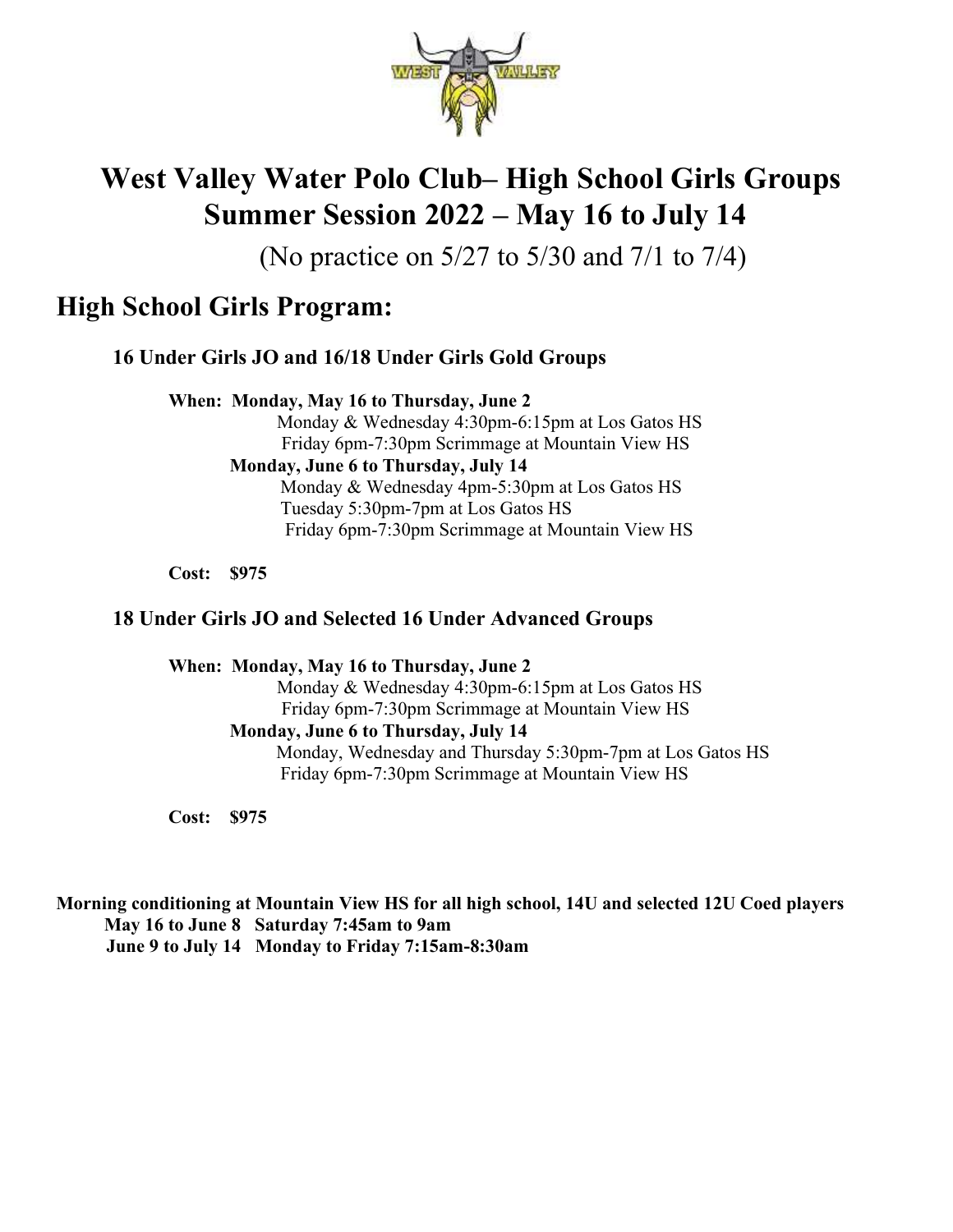

# West Valley Water Polo Club– High School Girls Groups Summer Session 2022 – May 16 to July 14

(No practice on 5/27 to 5/30 and 7/1 to 7/4)

# High School Girls Program:

# 16 Under Girls JO and 16/18 Under Girls Gold Groups

When: Monday, May 16 to Thursday, June 2

 Monday & Wednesday 4:30pm-6:15pm at Los Gatos HS Friday 6pm-7:30pm Scrimmage at Mountain View HS Monday, June 6 to Thursday, July 14 Monday & Wednesday 4pm-5:30pm at Los Gatos HS Tuesday 5:30pm-7pm at Los Gatos HS Friday 6pm-7:30pm Scrimmage at Mountain View HS

Cost: \$975

### 18 Under Girls JO and Selected 16 Under Advanced Groups

When: Monday, May 16 to Thursday, June 2 Monday & Wednesday 4:30pm-6:15pm at Los Gatos HS Friday 6pm-7:30pm Scrimmage at Mountain View HS Monday, June 6 to Thursday, July 14 Monday, Wednesday and Thursday 5:30pm-7pm at Los Gatos HS Friday 6pm-7:30pm Scrimmage at Mountain View HS

Cost: \$975

Morning conditioning at Mountain View HS for all high school, 14U and selected 12U Coed players May 16 to June 8 Saturday 7:45am to 9am June 9 to July 14 Monday to Friday 7:15am-8:30am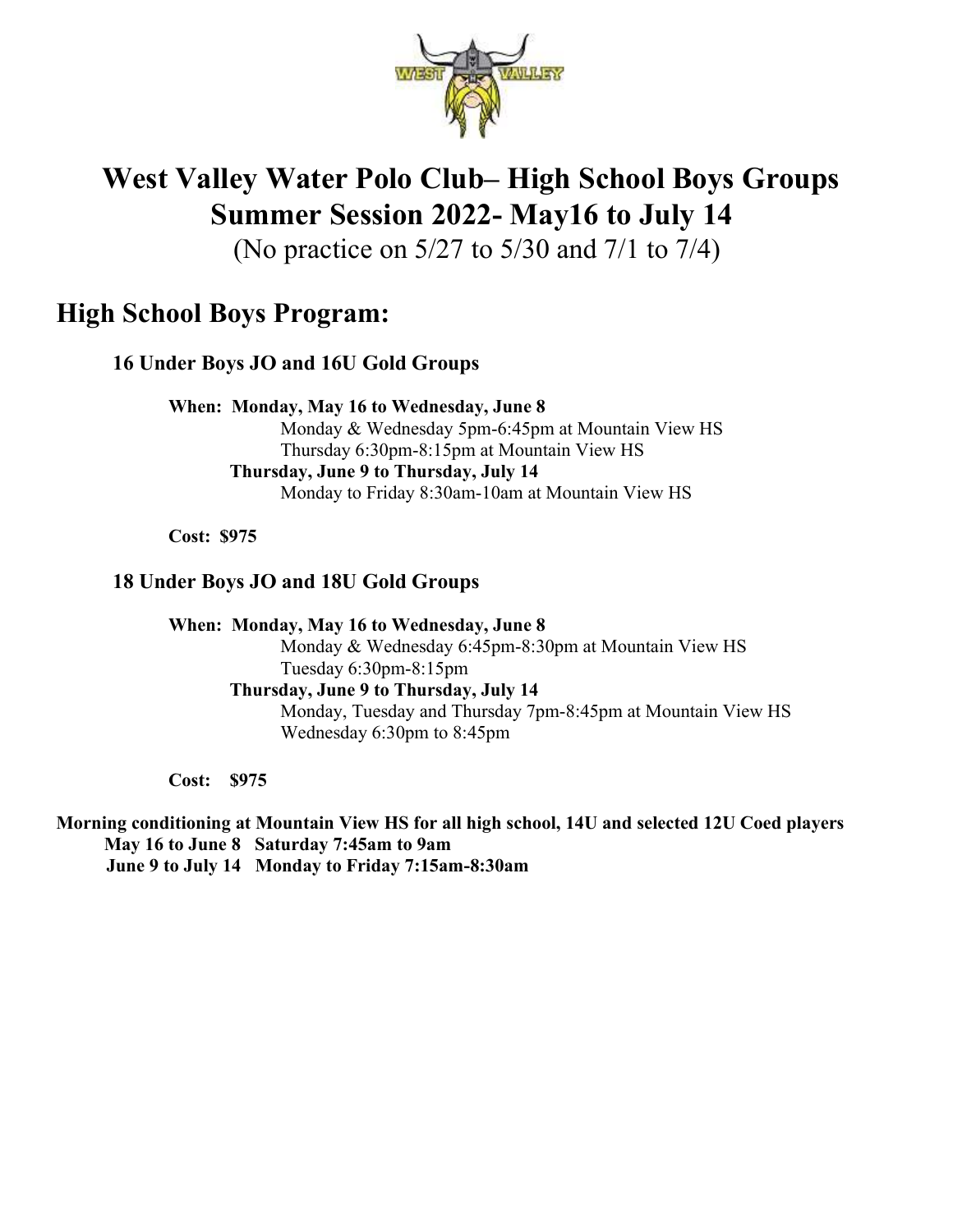

# West Valley Water Polo Club– High School Boys Groups Summer Session 2022- May16 to July 14

(No practice on 5/27 to 5/30 and 7/1 to 7/4)

# High School Boys Program:

16 Under Boys JO and 16U Gold Groups

When: Monday, May 16 to Wednesday, June 8 Monday & Wednesday 5pm-6:45pm at Mountain View HS Thursday 6:30pm-8:15pm at Mountain View HS Thursday, June 9 to Thursday, July 14 Monday to Friday 8:30am-10am at Mountain View HS

Cost: \$975

## 18 Under Boys JO and 18U Gold Groups

When: Monday, May 16 to Wednesday, June 8 Monday & Wednesday 6:45pm-8:30pm at Mountain View HS Tuesday 6:30pm-8:15pm Thursday, June 9 to Thursday, July 14 Monday, Tuesday and Thursday 7pm-8:45pm at Mountain View HS Wednesday 6:30pm to 8:45pm

Cost: \$975

Morning conditioning at Mountain View HS for all high school, 14U and selected 12U Coed players May 16 to June 8 Saturday 7:45am to 9am June 9 to July 14 Monday to Friday 7:15am-8:30am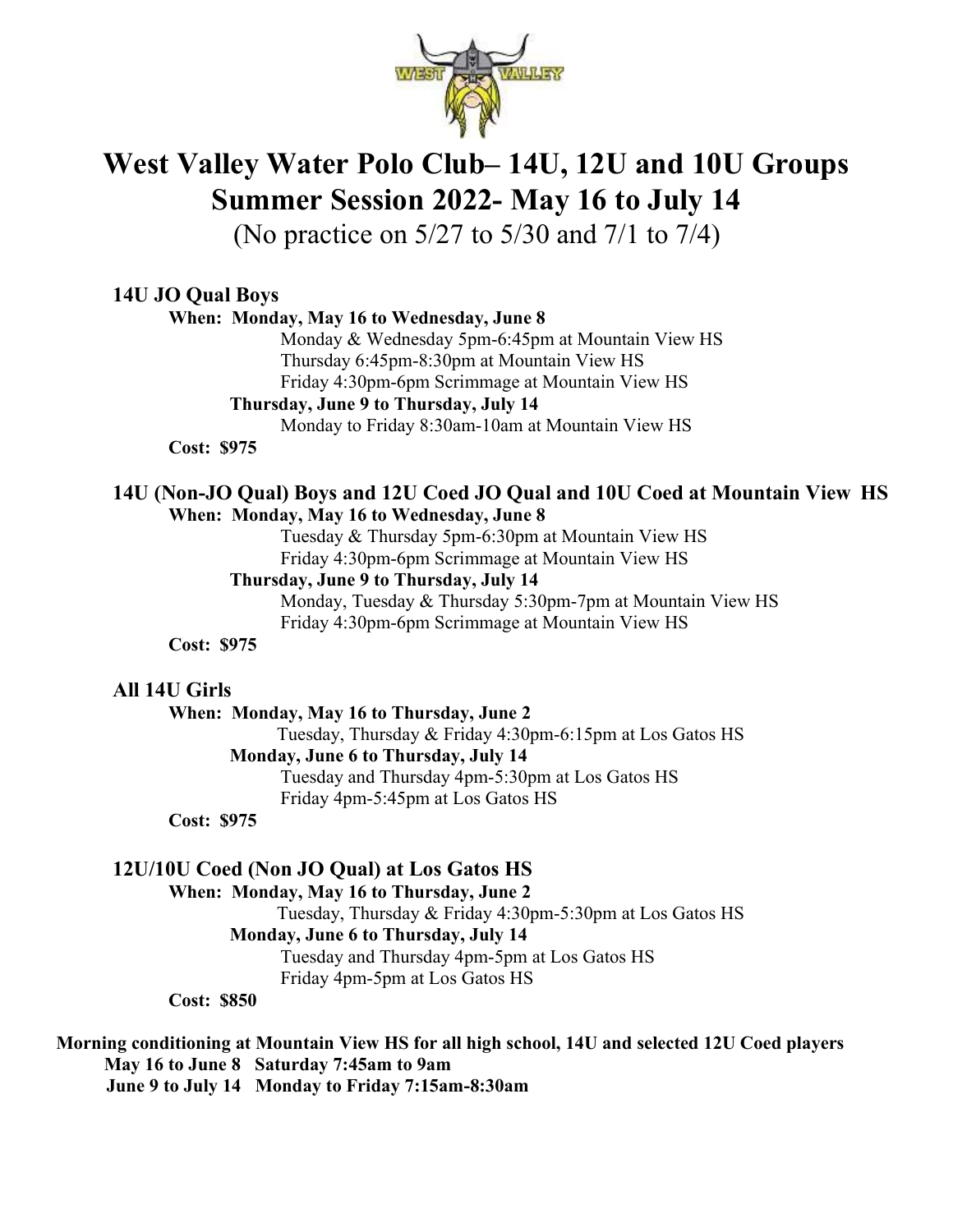

# West Valley Water Polo Club– 14U, 12U and 10U Groups Summer Session 2022- May 16 to July 14

(No practice on 5/27 to 5/30 and 7/1 to 7/4)

## 14U JO Qual Boys

#### When: Monday, May 16 to Wednesday, June 8

Monday & Wednesday 5pm-6:45pm at Mountain View HS Thursday 6:45pm-8:30pm at Mountain View HS Friday 4:30pm-6pm Scrimmage at Mountain View HS

#### Thursday, June 9 to Thursday, July 14

Monday to Friday 8:30am-10am at Mountain View HS

Cost: \$975

#### 14U (Non-JO Qual) Boys and 12U Coed JO Qual and 10U Coed at Mountain View HS When: Monday, May 16 to Wednesday, June 8

Tuesday & Thursday 5pm-6:30pm at Mountain View HS

Friday 4:30pm-6pm Scrimmage at Mountain View HS

#### Thursday, June 9 to Thursday, July 14

Monday, Tuesday & Thursday 5:30pm-7pm at Mountain View HS Friday 4:30pm-6pm Scrimmage at Mountain View HS

Cost: \$975

#### All 14U Girls

When: Monday, May 16 to Thursday, June 2

 Tuesday, Thursday & Friday 4:30pm-6:15pm at Los Gatos HS Monday, June 6 to Thursday, July 14 Tuesday and Thursday 4pm-5:30pm at Los Gatos HS Friday 4pm-5:45pm at Los Gatos HS

Cost: \$975

# 12U/10U Coed (Non JO Qual) at Los Gatos HS

#### When: Monday, May 16 to Thursday, June 2

 Tuesday, Thursday & Friday 4:30pm-5:30pm at Los Gatos HS Monday, June 6 to Thursday, July 14

Tuesday and Thursday 4pm-5pm at Los Gatos HS

Friday 4pm-5pm at Los Gatos HS

Cost: \$850

# Morning conditioning at Mountain View HS for all high school, 14U and selected 12U Coed players May 16 to June 8 Saturday 7:45am to 9am

June 9 to July 14 Monday to Friday 7:15am-8:30am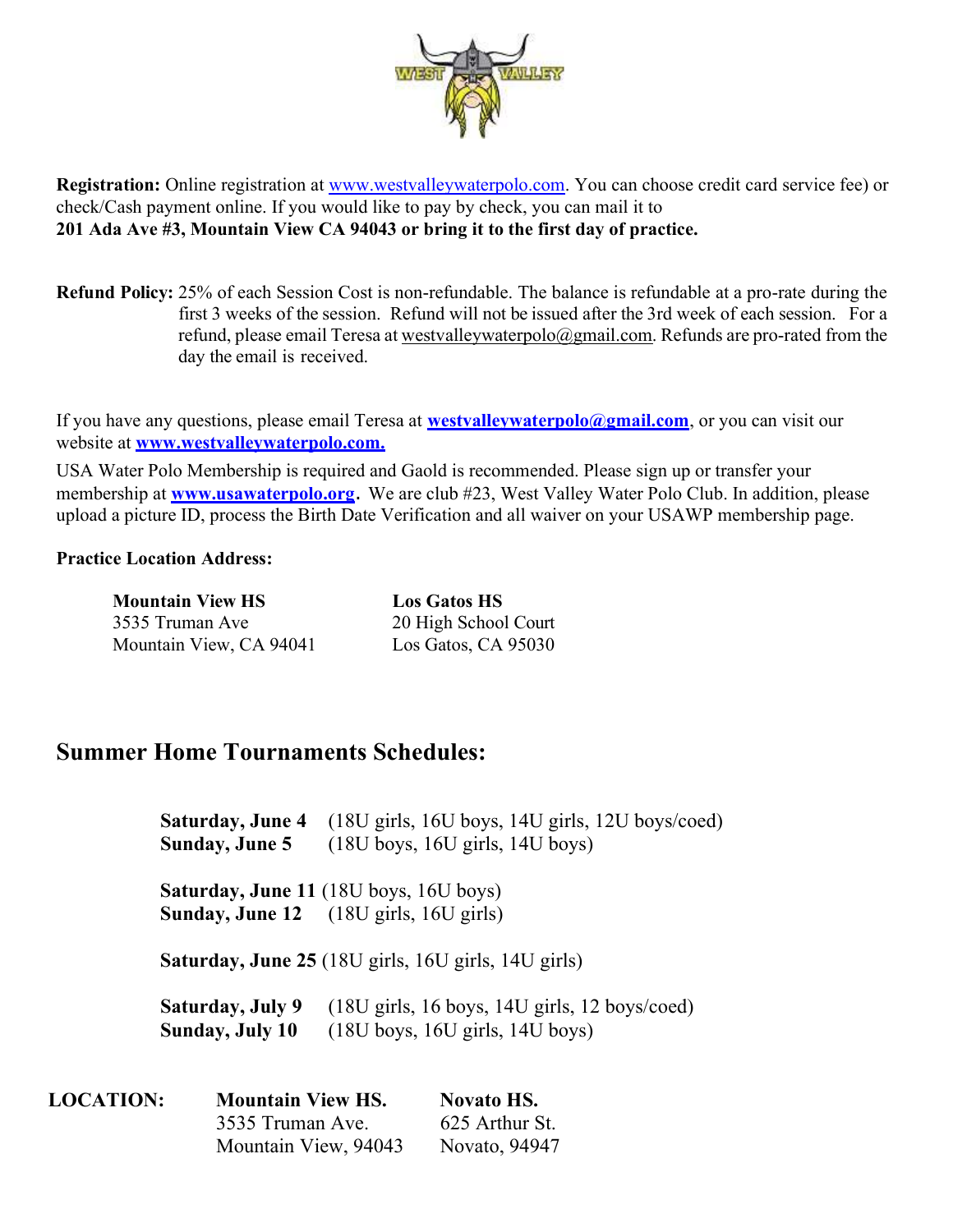

Registration: Online registration at www.westvalleywaterpolo.com. You can choose credit card service fee) or check/Cash payment online. If you would like to pay by check, you can mail it to 201 Ada Ave #3, Mountain View CA 94043 or bring it to the first day of practice.

Refund Policy: 25% of each Session Cost is non-refundable. The balance is refundable at a pro-rate during the first 3 weeks of the session. Refund will not be issued after the 3rd week of each session. For a refund, please email Teresa at westvalleywaterpolo@gmail.com. Refunds are pro-rated from the day the email is received.

If you have any questions, please email Teresa at **westvalleywaterpolo@gmail.com**, or you can visit our website at **www.westvalleywaterpolo.com.** 

USA Water Polo Membership is required and Gaold is recommended. Please sign up or transfer your membership at **www.usawaterpolo.org**. We are club #23, West Valley Water Polo Club. In addition, please upload a picture ID, process the Birth Date Verification and all waiver on your USAWP membership page.

#### Practice Location Address:

| <b>Mountain View HS</b> | <b>Los Gatos HS</b>  |
|-------------------------|----------------------|
| 3535 Truman Ave         | 20 High School Court |
| Mountain View, CA 94041 | Los Gatos, CA 95030  |

# Summer Home Tournaments Schedules:

 Saturday, June 4 (18U girls, 16U boys, 14U girls, 12U boys/coed) Sunday, June 5 (18U boys, 16U girls, 14U boys)

 Saturday, June 11 (18U boys, 16U boys) Sunday, June 12 (18U girls, 16U girls)

Saturday, June 25 (18U girls, 16U girls, 14U girls)

Saturday, July 9 (18U girls, 16 boys, 14U girls, 12 boys/coed)<br>Sunday, July 10 (18U boys, 16U girls, 14U boys)  $(18U$  boys,  $16U$  girls,  $14U$  boys)

| <b>LOCATION:</b> | <b>Mountain View HS.</b> | <b>Novato HS.</b> |
|------------------|--------------------------|-------------------|
|                  | 3535 Truman Ave.         | 625 Arthur St.    |
|                  | Mountain View, 94043     | Novato, 94947     |